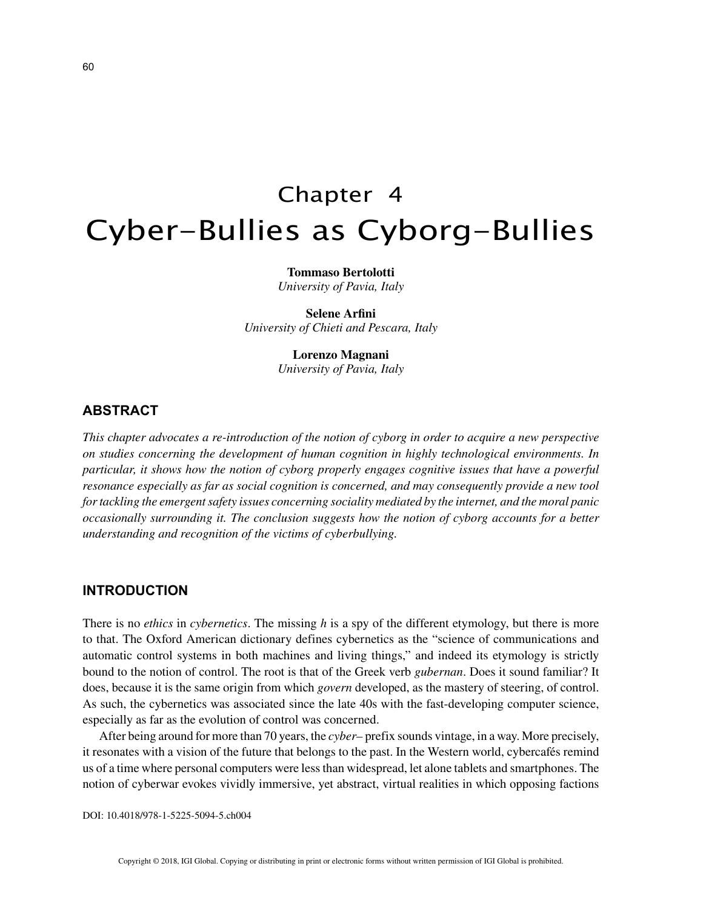# Chapter 4 Cyber-Bullies as Cyborg-Bullies

**Tommaso Bertolotti** *University of Pavia, Italy*

**Selene Arfini** *University of Chieti and Pescara, Italy*

> **Lorenzo Magnani** *University of Pavia, Italy*

# **ABSTRACT**

*This chapter advocates a re-introduction of the notion of cyborg in order to acquire a new perspective on studies concerning the development of human cognition in highly technological environments. In particular, it shows how the notion of cyborg properly engages cognitive issues that have a powerful resonance especially as far as social cognition is concerned, and may consequently provide a new tool for tackling the emergent safety issues concerning sociality mediated by the internet, and the moral panic occasionally surrounding it. The conclusion suggests how the notion of cyborg accounts for a better understanding and recognition of the victims of cyberbullying.*

### **INTRODUCTION**

There is no *ethics* in *cybernetics*. The missing *h* is a spy of the different etymology, but there is more to that. The Oxford American dictionary defines cybernetics as the "science of communications and automatic control systems in both machines and living things," and indeed its etymology is strictly bound to the notion of control. The root is that of the Greek verb *gubernan*. Does it sound familiar? It does, because it is the same origin from which *govern* developed, as the mastery of steering, of control. As such, the cybernetics was associated since the late 40s with the fast-developing computer science, especially as far as the evolution of control was concerned.

After being around for more than 70 years, the *cyber–* prefix sounds vintage, in a way. More precisely, it resonates with a vision of the future that belongs to the past. In the Western world, cybercafés remind us of a time where personal computers were less than widespread, let alone tablets and smartphones. The notion of cyberwar evokes vividly immersive, yet abstract, virtual realities in which opposing factions

DOI: 10.4018/978-1-5225-5094-5.ch004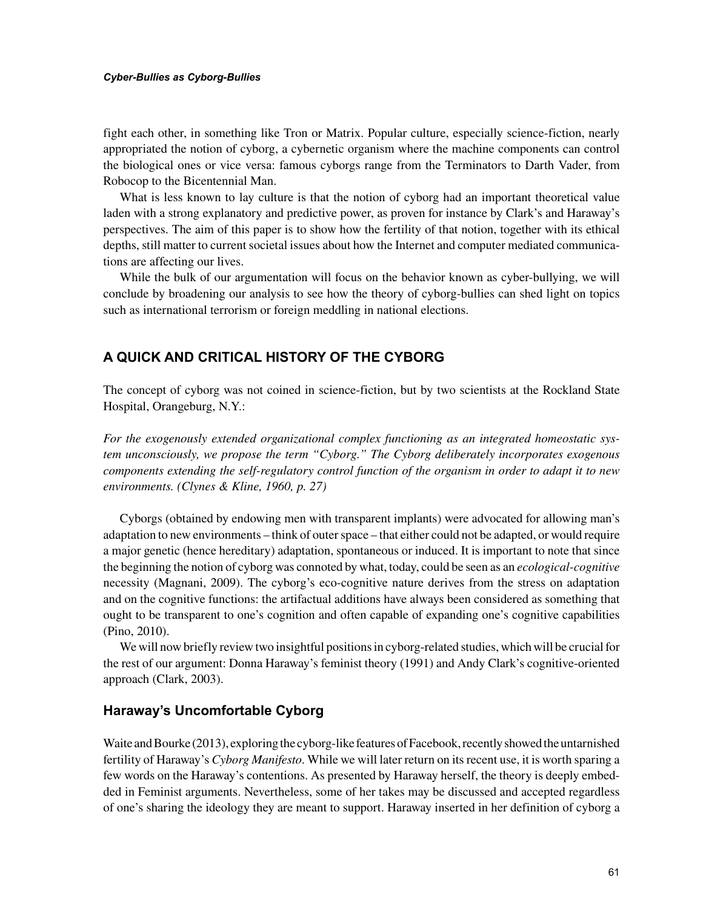#### *Cyber-Bullies as Cyborg-Bullies*

fight each other, in something like Tron or Matrix. Popular culture, especially science-fiction, nearly appropriated the notion of cyborg, a cybernetic organism where the machine components can control the biological ones or vice versa: famous cyborgs range from the Terminators to Darth Vader, from Robocop to the Bicentennial Man.

What is less known to lay culture is that the notion of cyborg had an important theoretical value laden with a strong explanatory and predictive power, as proven for instance by Clark's and Haraway's perspectives. The aim of this paper is to show how the fertility of that notion, together with its ethical depths, still matter to current societal issues about how the Internet and computer mediated communications are affecting our lives.

While the bulk of our argumentation will focus on the behavior known as cyber-bullying, we will conclude by broadening our analysis to see how the theory of cyborg-bullies can shed light on topics such as international terrorism or foreign meddling in national elections.

# **A QUICK AND CRITICAL HISTORY OF THE CYBORG**

The concept of cyborg was not coined in science-fiction, but by two scientists at the Rockland State Hospital, Orangeburg, N.Y.:

*For the exogenously extended organizational complex functioning as an integrated homeostatic system unconsciously, we propose the term "Cyborg." The Cyborg deliberately incorporates exogenous components extending the self-regulatory control function of the organism in order to adapt it to new environments. (Clynes & Kline, 1960, p. 27)*

Cyborgs (obtained by endowing men with transparent implants) were advocated for allowing man's adaptation to new environments – think of outer space – that either could not be adapted, or would require a major genetic (hence hereditary) adaptation, spontaneous or induced. It is important to note that since the beginning the notion of cyborg was connoted by what, today, could be seen as an *ecological-cognitive* necessity (Magnani, 2009). The cyborg's eco-cognitive nature derives from the stress on adaptation and on the cognitive functions: the artifactual additions have always been considered as something that ought to be transparent to one's cognition and often capable of expanding one's cognitive capabilities (Pino, 2010).

We will now briefly review two insightful positions in cyborg-related studies, which will be crucial for the rest of our argument: Donna Haraway's feminist theory (1991) and Andy Clark's cognitive-oriented approach (Clark, 2003).

## **Haraway's Uncomfortable Cyborg**

Waite and Bourke (2013), exploring the cyborg-like features of Facebook, recently showed the untarnished fertility of Haraway's *Cyborg Manifesto*. While we will later return on its recent use, it is worth sparing a few words on the Haraway's contentions. As presented by Haraway herself, the theory is deeply embedded in Feminist arguments. Nevertheless, some of her takes may be discussed and accepted regardless of one's sharing the ideology they are meant to support. Haraway inserted in her definition of cyborg a